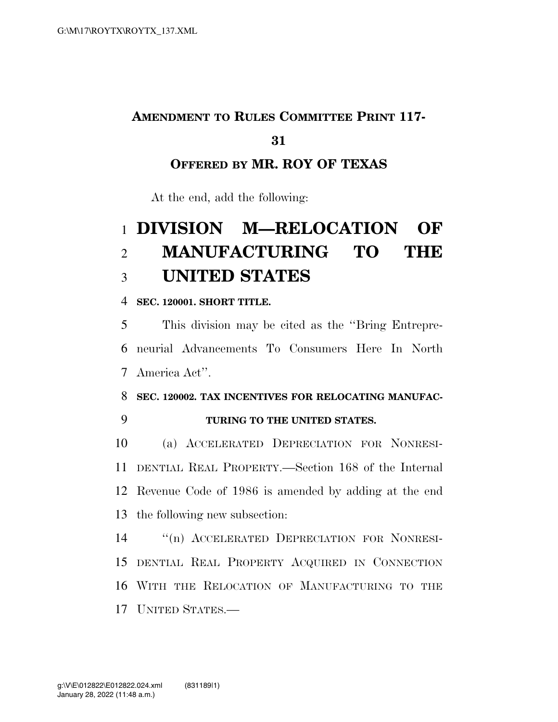### **AMENDMENT TO RULES COMMITTEE PRINT 117-**

#### 

## **OFFERED BY MR. ROY OF TEXAS**

At the end, add the following:

# **DIVISION M—RELOCATION OF MANUFACTURING TO THE UNITED STATES**

**SEC. 120001. SHORT TITLE.** 

 This division may be cited as the ''Bring Entrepre- neurial Advancements To Consumers Here In North America Act''.

**SEC. 120002. TAX INCENTIVES FOR RELOCATING MANUFAC-**

**TURING TO THE UNITED STATES.** 

 (a) ACCELERATED DEPRECIATION FOR NONRESI- DENTIAL REAL PROPERTY.—Section 168 of the Internal Revenue Code of 1986 is amended by adding at the end the following new subsection:

 ''(n) ACCELERATED DEPRECIATION FOR NONRESI- DENTIAL REAL PROPERTY ACQUIRED IN CONNECTION WITH THE RELOCATION OF MANUFACTURING TO THE **UNITED STATES** —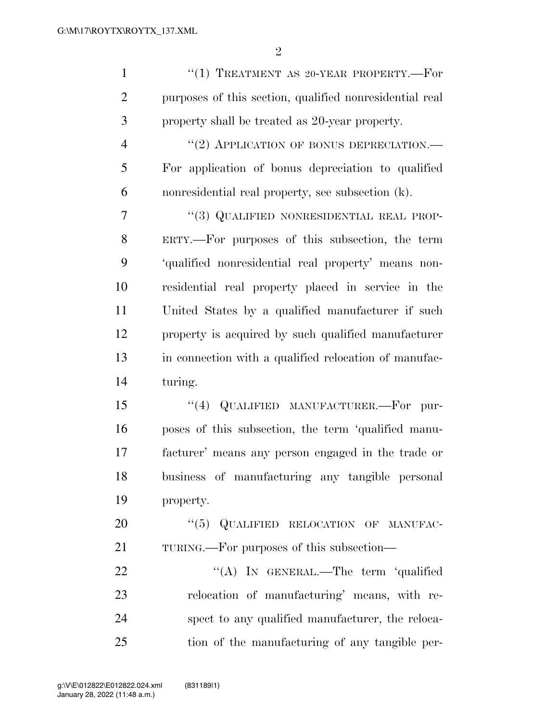| $\mathbf{1}$   | "(1) TREATMENT AS 20-YEAR PROPERTY.-- $For$             |
|----------------|---------------------------------------------------------|
| $\overline{2}$ | purposes of this section, qualified nonresidential real |
| 3              | property shall be treated as 20-year property.          |
| $\overline{4}$ | "(2) APPLICATION OF BONUS DEPRECIATION.—                |
| 5              | For application of bonus depreciation to qualified      |
| 6              | nonresidential real property, see subsection (k).       |
| $\overline{7}$ | "(3) QUALIFIED NONRESIDENTIAL REAL PROP-                |
| 8              | ERTY.—For purposes of this subsection, the term         |
| 9              | 'qualified nonresidential real property' means non-     |
| 10             | residential real property placed in service in the      |
| 11             | United States by a qualified manufacturer if such       |
| 12             | property is acquired by such qualified manufacturer     |
| 13             | in connection with a qualified relocation of manufac-   |
| 14             | turing.                                                 |
| 15             | "(4) QUALIFIED MANUFACTURER.—For<br>pur-                |
| 16             | poses of this subsection, the term 'qualified manu-     |
| 17             | facturer' means any person engaged in the trade or      |
| 18             | business of manufacturing any tangible personal         |
| 19             | property.                                               |
| 20             | "(5) QUALIFIED RELOCATION OF MANUFAC-                   |
| 21             | TURING.—For purposes of this subsection—                |
| 22             | "(A) IN GENERAL.—The term 'qualified                    |
| 23             | relocation of manufacturing' means, with re-            |
| 24             | spect to any qualified manufacturer, the reloca-        |
| 25             | tion of the manufacturing of any tangible per-          |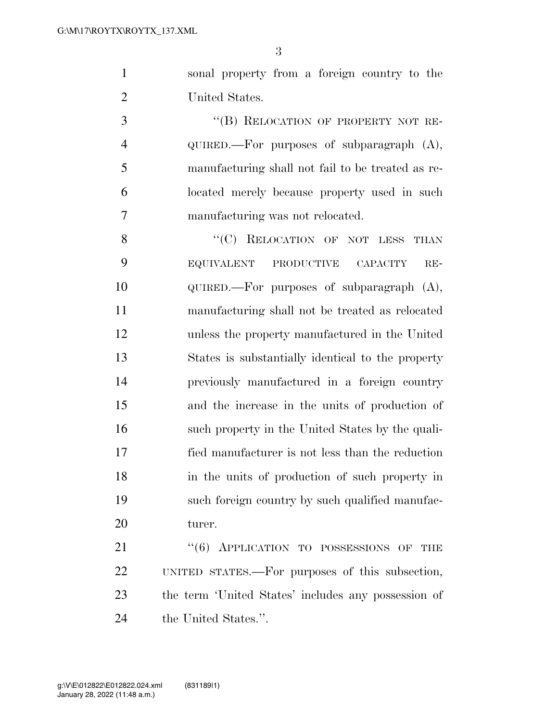sonal property from a foreign country to the United States.

3 "(B) RELOCATION OF PROPERTY NOT RE- QUIRED.—For purposes of subparagraph (A), manufacturing shall not fail to be treated as re- located merely because property used in such manufacturing was not relocated.

8 "(C) RELOCATION OF NOT LESS THAN EQUIVALENT PRODUCTIVE CAPACITY RE- QUIRED.—For purposes of subparagraph (A), manufacturing shall not be treated as relocated unless the property manufactured in the United States is substantially identical to the property previously manufactured in a foreign country and the increase in the units of production of such property in the United States by the quali- fied manufacturer is not less than the reduction in the units of production of such property in such foreign country by such qualified manufac-turer.

21 "(6) APPLICATION TO POSSESSIONS OF THE UNITED STATES.—For purposes of this subsection, the term 'United States' includes any possession of the United States.''.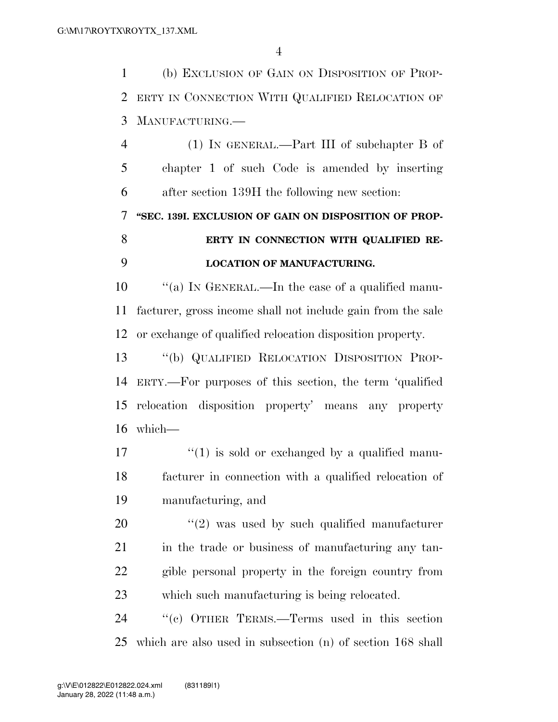(b) EXCLUSION OF GAIN ON DISPOSITION OF PROP- ERTY IN CONNECTION WITH QUALIFIED RELOCATION OF MANUFACTURING.—

 (1) IN GENERAL.—Part III of subchapter B of chapter 1 of such Code is amended by inserting after section 139H the following new section:

 **''SEC. 139I. EXCLUSION OF GAIN ON DISPOSITION OF PROP-ERTY IN CONNECTION WITH QUALIFIED RE-**

#### **LOCATION OF MANUFACTURING.**

 ''(a) IN GENERAL.—In the case of a qualified manu- facturer, gross income shall not include gain from the sale or exchange of qualified relocation disposition property.

 ''(b) QUALIFIED RELOCATION DISPOSITION PROP- ERTY.—For purposes of this section, the term 'qualified relocation disposition property' means any property which—

 $\frac{17}{17}$  ''(1) is sold or exchanged by a qualified manu- facturer in connection with a qualified relocation of manufacturing, and

 ''(2) was used by such qualified manufacturer in the trade or business of manufacturing any tan- gible personal property in the foreign country from which such manufacturing is being relocated.

 ''(c) OTHER TERMS.—Terms used in this section which are also used in subsection (n) of section 168 shall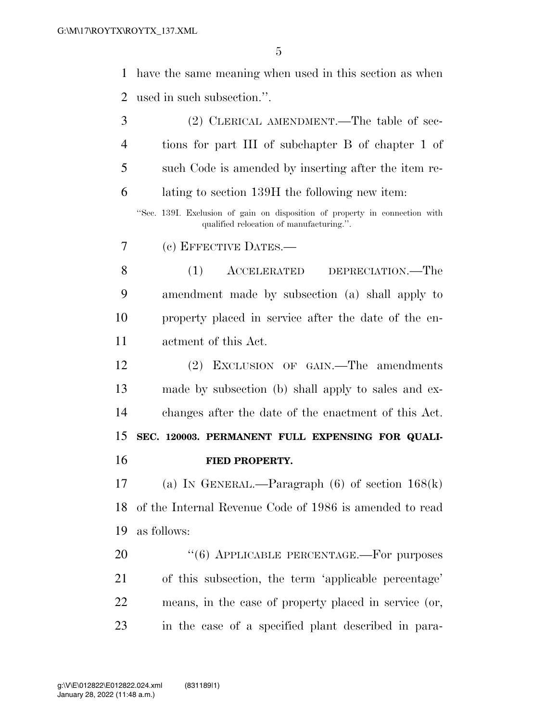have the same meaning when used in this section as when used in such subsection.''.

| 3  | (2) CLERICAL AMENDMENT.—The table of sec-                                                                               |
|----|-------------------------------------------------------------------------------------------------------------------------|
| 4  | tions for part III of subchapter B of chapter 1 of                                                                      |
| 5  | such Code is amended by inserting after the item re-                                                                    |
| 6  | lating to section 139H the following new item:                                                                          |
|    | "Sec. 139I. Exclusion of gain on disposition of property in connection with<br>qualified relocation of manufacturing.". |
| 7  | (c) EFFECTIVE DATES.—                                                                                                   |
| 8  | (1)<br>ACCELERATED<br>DEPRECIATION.—The                                                                                 |
| 9  | amendment made by subsection (a) shall apply to                                                                         |
| 10 | property placed in service after the date of the en-                                                                    |
| 11 | actment of this Act.                                                                                                    |
| 12 | EXCLUSION OF GAIN.—The amendments<br>(2)                                                                                |
| 13 | made by subsection (b) shall apply to sales and ex-                                                                     |
| 14 | changes after the date of the enactment of this Act.                                                                    |
| 15 | SEC. 120003. PERMANENT FULL EXPENSING FOR QUALI-                                                                        |
| 16 | FIED PROPERTY.                                                                                                          |
| 17 | (a) IN GENERAL.—Paragraph $(6)$ of section $168(k)$                                                                     |
| 18 | of the Internal Revenue Code of 1986 is amended to read                                                                 |
| 19 | as follows:                                                                                                             |
| 20 | "(6) APPLICABLE PERCENTAGE.-For purposes                                                                                |
| 21 | of this subsection, the term 'applicable percentage'                                                                    |
| 22 | means, in the case of property placed in service (or,                                                                   |
| 23 | in the case of a specified plant described in para-                                                                     |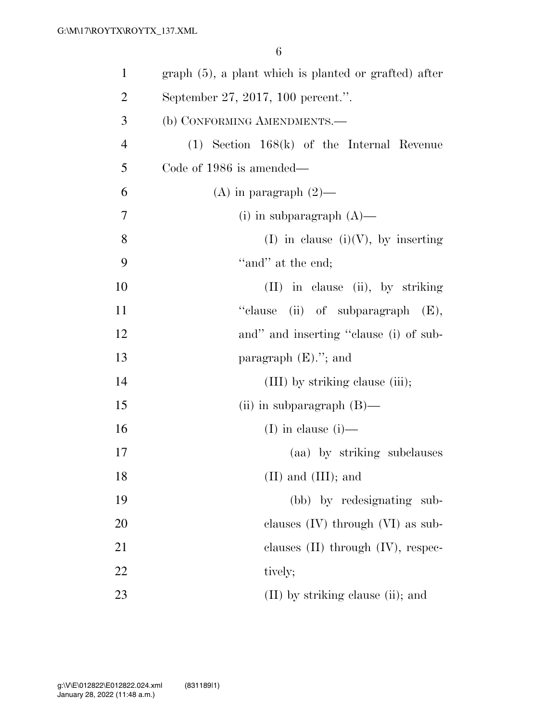| $\mathbf{1}$   | graph (5), a plant which is planted or grafted) after |
|----------------|-------------------------------------------------------|
| $\overline{2}$ | September 27, 2017, 100 percent.".                    |
| 3              | (b) CONFORMING AMENDMENTS.-                           |
| $\overline{4}$ | $(1)$ Section 168 $(k)$ of the Internal Revenue       |
| 5              | Code of 1986 is amended—                              |
| 6              | (A) in paragraph $(2)$ —                              |
| 7              | (i) in subparagraph $(A)$ —                           |
| 8              | (I) in clause (i)(V), by inserting                    |
| 9              | "and" at the end;                                     |
| 10             | $(II)$ in clause (ii), by striking                    |
| 11             | (ii) of subparagraph $(E)$ ,<br>"clause               |
| 12             | and" and inserting "clause (i) of sub-                |
| 13             | paragraph $(E)$ ."; and                               |
| 14             | (III) by striking clause (iii);                       |
| 15             | (ii) in subparagraph $(B)$ —                          |
| 16             | (I) in clause $(i)$ —                                 |
| 17             | (aa) by striking subclauses                           |
| 18             | $(II)$ and $(III)$ ; and                              |
| 19             | (bb) by redesignating sub-                            |
| 20             | clauses $(IV)$ through $(VI)$ as sub-                 |
| 21             | clauses $(II)$ through $(IV)$ , respec-               |
| 22             | tively;                                               |
| 23             | $(II)$ by striking clause (ii); and                   |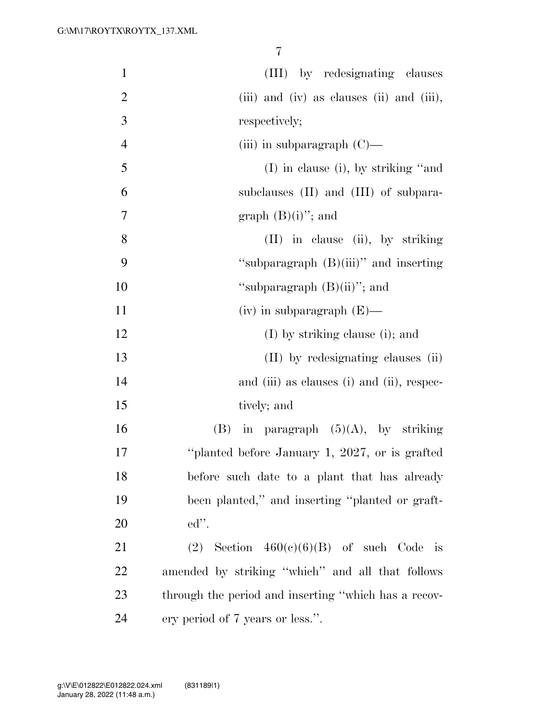| $\mathbf{1}$   | (III) by redesignating clauses                           |
|----------------|----------------------------------------------------------|
| $\overline{2}$ | (iii) and (iv) as clauses (ii) and (iii),                |
| 3              | respectively;                                            |
| $\overline{4}$ | (iii) in subparagraph $(C)$ —                            |
| 5              | $(I)$ in clause (i), by striking "and                    |
| 6              | subclauses (II) and (III) of subpara-                    |
| 7              | graph $(B)(i)$ "; and                                    |
| 8              | (II) in clause (ii), by striking                         |
| 9              | "subparagraph $(B)(iii)$ " and inserting                 |
| 10             | "subparagraph $(B)(ii)$ "; and                           |
| 11             | $(iv)$ in subparagraph $(E)$ —                           |
| 12             | $(I)$ by striking clause (i); and                        |
| 13             | (II) by redesignating clauses (ii)                       |
| 14             | and (iii) as clauses (i) and (ii), respec-               |
| 15             | tively; and                                              |
| 16             | (B) in paragraph $(5)(A)$ , by striking                  |
| 17             | "planted before January 1, 2027, or is grafted           |
| 18             | before such date to a plant that has already             |
| 19             | been planted," and inserting "planted or graft-          |
| 20             | $ed$ ".                                                  |
| 21             | (2) Section $460(e)(6)(B)$ of such Code<br>$\frac{1}{1}$ |
| 22             | amended by striking "which" and all that follows         |
| 23             | through the period and inserting "which has a recov-     |
| 24             | ery period of 7 years or less.".                         |